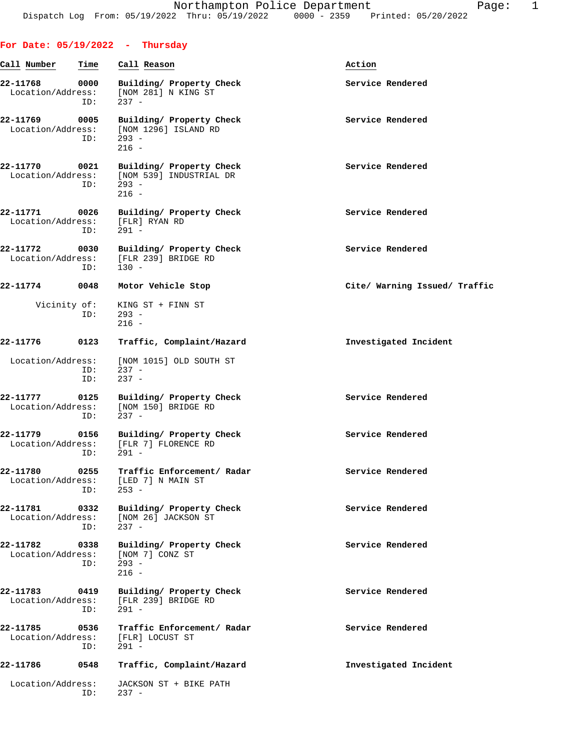|                               |             | For Date: $05/19/2022 - Thursday$                                                                |                               |
|-------------------------------|-------------|--------------------------------------------------------------------------------------------------|-------------------------------|
| Call Number                   | Time        | Call Reason                                                                                      | Action                        |
| 22-11768<br>Location/Address: | 0000<br>ID: | Building/ Property Check<br>[NOM 281] N KING ST<br>$237 -$                                       | Service Rendered              |
| 22-11769<br>Location/Address: | 0005<br>ID: | Building/ Property Check<br>[NOM 1296] ISLAND RD<br>293 -<br>$216 -$                             | Service Rendered              |
| 22-11770                      | ID:         | 0021 Building/ Property Check<br>Location/Address: [NOM 539] INDUSTRIAL DR<br>$293 -$<br>$216 -$ | Service Rendered              |
| 22-11771                      | ID:         | 0026 Building/ Property Check<br>Location/Address: [FLR] RYAN RD<br>$291 -$                      | Service Rendered              |
| 22-11772                      | ID:         | 0030 Building/ Property Check<br>Location/Address: [FLR 239] BRIDGE RD<br>$130 -$                | Service Rendered              |
| $22 - 11774$                  | 0048        | Motor Vehicle Stop                                                                               | Cite/ Warning Issued/ Traffic |
| Vicinity of:                  | ID:         | KING ST + FINN ST<br>$293 -$<br>$216 -$                                                          |                               |
| 22-11776                      | 0123        | Traffic, Complaint/Hazard                                                                        | Investigated Incident         |
| Location/Address:             | ID:<br>ID:  | [NOM 1015] OLD SOUTH ST<br>$237 -$<br>$237 -$                                                    |                               |
| 22-11777<br>Location/Address: | 0125<br>ID: | Building/ Property Check<br>[NOM 150] BRIDGE RD<br>$237 -$                                       | Service Rendered              |
|                               | ID:         | 22-11779 0156 Building/ Property Check<br>Location/Address: [FLR 7] FLORENCE RD<br>$291 -$       | Service Rendered              |
| 22-11780                      | 0255<br>ID: | Traffic Enforcement/ Radar<br>Location/Address: [LED 7] N MAIN ST<br>$253 -$                     | Service Rendered              |
| 22-11781<br>Location/Address: | 0332<br>ID: | Building/ Property Check<br>[NOM 26] JACKSON ST<br>$237 -$                                       | Service Rendered              |
| 22-11782<br>Location/Address: | ID:         | 0338 Building/ Property Check<br>[NOM 7] CONZ ST<br>$293 -$<br>$216 -$                           | Service Rendered              |
| 22-11783<br>Location/Address: | 0419<br>ID: | Building/ Property Check<br>[FLR 239] BRIDGE RD<br>$291 -$                                       | Service Rendered              |
| 22-11785<br>Location/Address: | 0536<br>ID: | Traffic Enforcement/ Radar<br>[FLR] LOCUST ST<br>$291 -$                                         | Service Rendered              |
| 22-11786                      | 0548        | Traffic, Complaint/Hazard                                                                        | Investigated Incident         |
| Location/Address:             | ID:         | JACKSON ST + BIKE PATH<br>$237 -$                                                                |                               |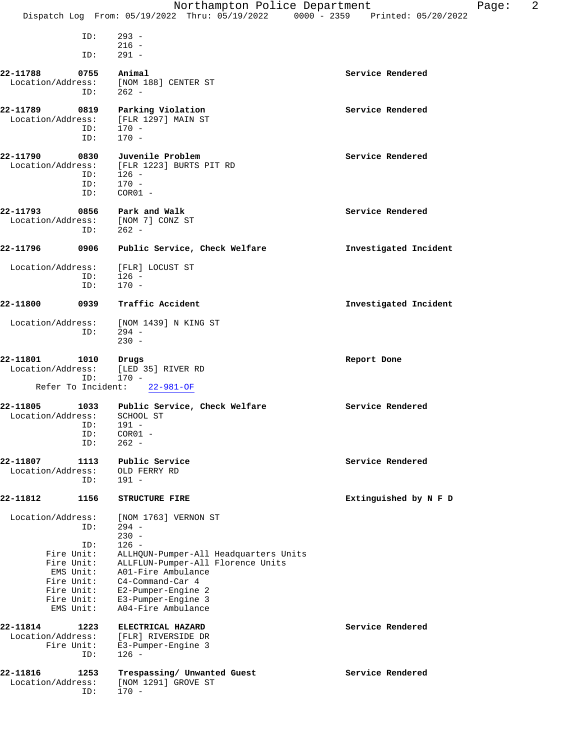| $293 -$<br>ID:<br>$216 -$<br>$291 -$<br>ID:                                                                     | 2<br>Page:<br>Dispatch Log From: 05/19/2022 Thru: 05/19/2022 0000 - 2359 Printed: 05/20/2022 |
|-----------------------------------------------------------------------------------------------------------------|----------------------------------------------------------------------------------------------|
|                                                                                                                 |                                                                                              |
|                                                                                                                 |                                                                                              |
|                                                                                                                 |                                                                                              |
| 22-11788<br>Animal<br>Service Rendered<br>0755                                                                  |                                                                                              |
| Location/Address:<br>[NOM 188] CENTER ST                                                                        |                                                                                              |
| $262 -$<br>ID:                                                                                                  |                                                                                              |
| 22-11789<br>Service Rendered<br>0819<br>Parking Violation                                                       |                                                                                              |
| Location/Address:<br>[FLR 1297] MAIN ST<br>$170 -$<br>ID:                                                       |                                                                                              |
| $170 -$<br>ID:                                                                                                  |                                                                                              |
|                                                                                                                 |                                                                                              |
| 22-11790<br>Service Rendered<br>0830<br>Juvenile Problem<br>Location/Address:<br>[FLR 1223] BURTS PIT RD        |                                                                                              |
| $126 -$<br>ID:                                                                                                  |                                                                                              |
| ID:<br>$170 -$                                                                                                  |                                                                                              |
| ID:<br>$COR01 -$                                                                                                |                                                                                              |
| 22-11793<br>Service Rendered<br>0856<br>Park and Walk                                                           |                                                                                              |
| [NOM 7] CONZ ST<br>Location/Address:<br>$262 -$<br>ID:                                                          |                                                                                              |
|                                                                                                                 |                                                                                              |
| 22-11796<br>0906<br>Public Service, Check Welfare                                                               | Investigated Incident                                                                        |
| Location/Address:<br>[FLR] LOCUST ST                                                                            |                                                                                              |
| $126 -$<br>ID:                                                                                                  |                                                                                              |
| $170 -$<br>ID:                                                                                                  |                                                                                              |
| 22-11800<br>Traffic Accident<br>0939                                                                            | Investigated Incident                                                                        |
| Location/Address:<br>[NOM 1439] N KING ST                                                                       |                                                                                              |
| $294 -$<br>ID:<br>$230 -$                                                                                       |                                                                                              |
|                                                                                                                 |                                                                                              |
| 22-11801<br>1010<br>Drugs<br>Report Done                                                                        |                                                                                              |
| Location/Address:<br>[LED 35] RIVER RD<br>ID:<br>$170 -$                                                        |                                                                                              |
| Refer To Incident:<br>$22 - 981 - OF$                                                                           |                                                                                              |
| Service Rendered<br>22-11805<br>1033<br>Public Service, Check Welfare                                           |                                                                                              |
| Location/Address:<br>SCHOOL ST                                                                                  |                                                                                              |
| ID:<br>$191 -$<br>$COR01 -$<br>ID:                                                                              |                                                                                              |
| $262 -$<br>ID:                                                                                                  |                                                                                              |
|                                                                                                                 |                                                                                              |
| 22-11807<br>Service Rendered<br>1113<br>Public Service<br>Location/Address:<br>OLD FERRY RD                     |                                                                                              |
| $191 -$<br>ID:                                                                                                  |                                                                                              |
| 22-11812<br>1156<br><b>STRUCTURE FIRE</b>                                                                       | Extinguished by N F D                                                                        |
|                                                                                                                 |                                                                                              |
| Location/Address:<br>[NOM 1763] VERNON ST                                                                       |                                                                                              |
| ID:<br>$294 -$                                                                                                  |                                                                                              |
| $230 -$                                                                                                         |                                                                                              |
| $126 -$<br>ID:<br>Fire Unit:<br>ALLHQUN-Pumper-All Headquarters Units                                           |                                                                                              |
| Fire Unit:<br>ALLFLUN-Pumper-All Florence Units                                                                 |                                                                                              |
| EMS Unit:<br>A01-Fire Ambulance                                                                                 |                                                                                              |
| C4-Command-Car 4<br>Fire Unit:<br>Fire Unit:<br>E2-Pumper-Engine 2                                              |                                                                                              |
| E3-Pumper-Engine 3<br>Fire Unit:                                                                                |                                                                                              |
| A04-Fire Ambulance<br>EMS Unit:                                                                                 |                                                                                              |
| Service Rendered<br>1223<br>ELECTRICAL HAZARD                                                                   |                                                                                              |
| 22-11814<br>Location/Address:<br>[FLR] RIVERSIDE DR                                                             |                                                                                              |
| Fire Unit:<br>E3-Pumper-Engine 3<br>$126 -$<br>ID:                                                              |                                                                                              |
|                                                                                                                 |                                                                                              |
| 22-11816<br>Service Rendered<br>1253<br>Trespassing/ Unwanted Guest<br>Location/Address:<br>[NOM 1291] GROVE ST |                                                                                              |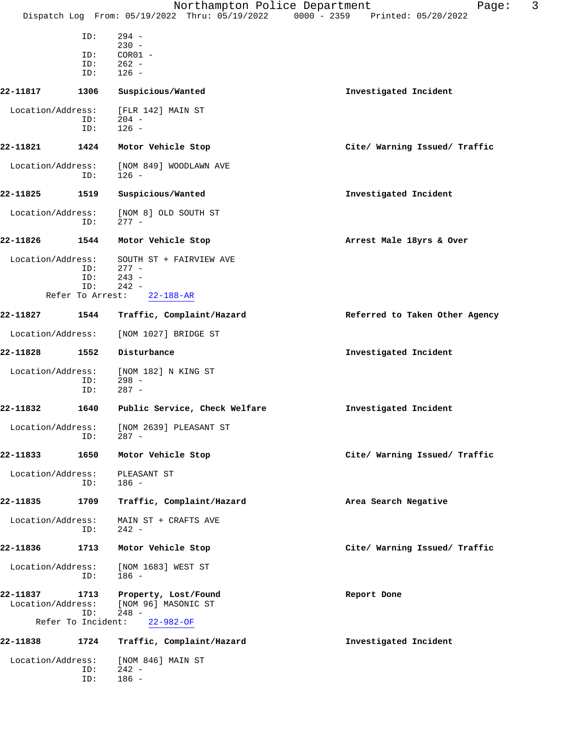|                               |                           | Northampton Police Department                                                  | 3<br>Page:                     |
|-------------------------------|---------------------------|--------------------------------------------------------------------------------|--------------------------------|
|                               |                           | Dispatch Log From: 05/19/2022 Thru: 05/19/2022 0000 - 2359 Printed: 05/20/2022 |                                |
|                               | ID:                       | $294 -$                                                                        |                                |
|                               | ID:                       | $230 -$<br>$COR01 -$                                                           |                                |
|                               | ID:                       | $262 -$                                                                        |                                |
|                               | ID:                       | $126 -$                                                                        |                                |
| 22-11817                      | 1306                      | Suspicious/Wanted                                                              | Investigated Incident          |
| Location/Address:             |                           | [FLR 142] MAIN ST                                                              |                                |
|                               | ID:<br>ID:                | $204 -$<br>$126 -$                                                             |                                |
| 22-11821                      | 1424                      | Motor Vehicle Stop                                                             | Cite/ Warning Issued/ Traffic  |
|                               |                           |                                                                                |                                |
| Location/Address:             | ID:                       | [NOM 849] WOODLAWN AVE<br>$126 -$                                              |                                |
| 22-11825                      | 1519                      | Suspicious/Wanted                                                              | Investigated Incident          |
| Location/Address:             | ID:                       | [NOM 8] OLD SOUTH ST<br>$277 -$                                                |                                |
| 22-11826                      | 1544                      | Motor Vehicle Stop                                                             | Arrest Male 18yrs & Over       |
| Location/Address:             |                           | SOUTH ST + FAIRVIEW AVE                                                        |                                |
|                               | ID:                       | $277 -$                                                                        |                                |
|                               | ID:<br>ID:                | $243 -$<br>$242 -$                                                             |                                |
|                               | Refer To Arrest:          | $22 - 188 - AR$                                                                |                                |
| 22-11827                      | 1544                      | Traffic, Complaint/Hazard                                                      | Referred to Taken Other Agency |
| Location/Address:             |                           | [NOM 1027] BRIDGE ST                                                           |                                |
| 22-11828                      | 1552                      | Disturbance                                                                    | Investigated Incident          |
| Location/Address:             | ID:<br>ID:                | [NOM 182] N KING ST<br>$298 -$<br>$287 -$                                      |                                |
| 22-11832                      | 1640                      | Public Service, Check Welfare                                                  | Investigated Incident          |
| Location/Address:             | ID:                       | [NOM 2639] PLEASANT ST<br>$287 -$                                              |                                |
| 22-11833                      | 1650                      | Motor Vehicle Stop                                                             | Cite/ Warning Issued/ Traffic  |
| Location/Address:             | ID:                       | PLEASANT ST<br>$186 -$                                                         |                                |
| 22-11835                      | 1709                      | Traffic, Complaint/Hazard                                                      | Area Search Negative           |
| Location/Address:             | ID:                       | MAIN ST + CRAFTS AVE<br>$242 -$                                                |                                |
| 22-11836                      | 1713                      | Motor Vehicle Stop                                                             | Cite/ Warning Issued/ Traffic  |
| Location/Address:             | ID:                       | [NOM 1683] WEST ST<br>$186 -$                                                  |                                |
| 22-11837<br>Location/Address: | 1713                      | Property, Lost/Found<br>[NOM 96] MASONIC ST<br>$248 -$                         | Report Done                    |
|                               | ID:<br>Refer To Incident: | $22 - 982 - OF$                                                                |                                |
| 22-11838                      | 1724                      | Traffic, Complaint/Hazard                                                      | Investigated Incident          |
| Location/Address:             | ID:<br>ID:                | [NOM 846] MAIN ST<br>$242 -$<br>$186 -$                                        |                                |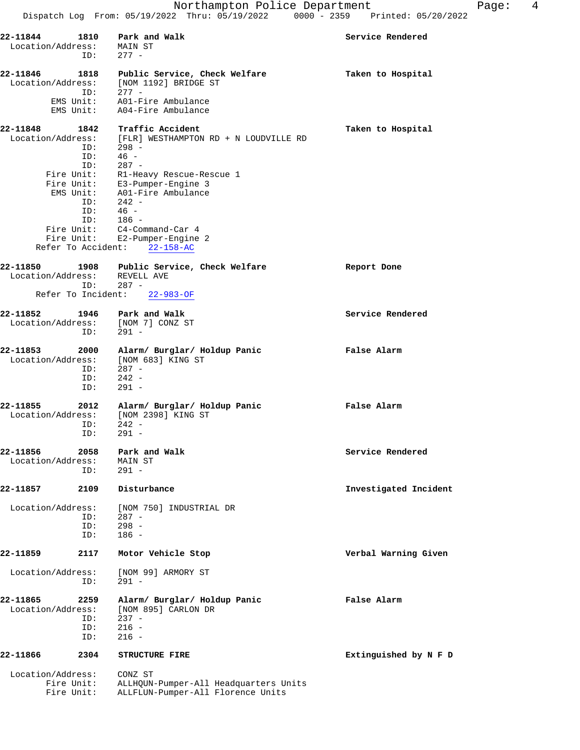|                                                                         | Dispatch Log From: 05/19/2022 Thru: 05/19/2022 0000 - 2359                                                                                                                                                                                                                                                                                | Printed: 05/20/2022   |
|-------------------------------------------------------------------------|-------------------------------------------------------------------------------------------------------------------------------------------------------------------------------------------------------------------------------------------------------------------------------------------------------------------------------------------|-----------------------|
| 22-11844<br>1810<br>Location/Address:<br>ID:                            | Park and Walk<br>MAIN ST<br>$277 -$                                                                                                                                                                                                                                                                                                       | Service Rendered      |
| 22-11846<br>1818<br>Location/Address:<br>ID:<br>EMS Unit:<br>EMS Unit:  | Public Service, Check Welfare<br>[NOM 1192] BRIDGE ST<br>$277 -$<br>A01-Fire Ambulance<br>A04-Fire Ambulance                                                                                                                                                                                                                              | Taken to Hospital     |
| 22-11848<br>1842<br>ID:<br>ID:<br>ID:<br>EMS Unit:<br>ID:<br>ID:<br>ID: | Traffic Accident<br>Location/Address: [FLR] WESTHAMPTON RD + N LOUDVILLE RD<br>$298 -$<br>$46 -$<br>$287 -$<br>Fire Unit: R1-Heavy Rescue-Rescue 1<br>Fire Unit: E3-Pumper-Engine 3<br>A01-Fire Ambulance<br>$242 -$<br>$46 -$<br>$186 -$<br>Fire Unit: C4-Command-Car 4<br>Fire Unit: E2-Pumper-Engine 2<br>Refer To Accident: 22-158-AC | Taken to Hospital     |
| 22-11850<br>Location/Address: REVELL AVE<br>ID:<br>Refer To Incident:   | 1908 Public Service, Check Welfare<br>$287 -$<br>$22 - 983 - OF$                                                                                                                                                                                                                                                                          | Report Done           |
| 22-11852<br>1946<br>Location/Address:<br>ID:                            | Park and Walk<br>[NOM 7] CONZ ST<br>$291 -$                                                                                                                                                                                                                                                                                               | Service Rendered      |
| 22-11853<br>2000<br>Location/Address:<br>ID:<br>ID:<br>ID:              | Alarm/ Burglar/ Holdup Panic<br>[NOM 683] KING ST<br>$287 -$<br>$242 -$<br>$291 -$                                                                                                                                                                                                                                                        | False Alarm           |
| 22-11855<br>2012<br>Location/Address:<br>ID:<br>ID:                     | Alarm/ Burglar/ Holdup Panic<br>[NOM 2398] KING ST<br>$242 -$<br>291 -                                                                                                                                                                                                                                                                    | False Alarm           |
| 22-11856<br>2058<br>Location/Address:<br>ID:                            | Park and Walk<br>MAIN ST<br>$291 -$                                                                                                                                                                                                                                                                                                       | Service Rendered      |
| 22-11857<br>2109                                                        | Disturbance                                                                                                                                                                                                                                                                                                                               | Investigated Incident |
| Location/Address:<br>ID:<br>ID:<br>ID:                                  | [NOM 750] INDUSTRIAL DR<br>$287 -$<br>$298 -$<br>$186 -$                                                                                                                                                                                                                                                                                  |                       |
| 22-11859<br>2117                                                        | Motor Vehicle Stop                                                                                                                                                                                                                                                                                                                        | Verbal Warning Given  |
| Location/Address:<br>ID:                                                | [NOM 99] ARMORY ST<br>$291 -$                                                                                                                                                                                                                                                                                                             |                       |
| 22-11865<br>2259<br>Location/Address:<br>ID:<br>ID:                     | Alarm/ Burglar/ Holdup Panic<br>[NOM 895] CARLON DR<br>$237 -$<br>$216 -$                                                                                                                                                                                                                                                                 | False Alarm           |

**22-11866 2304 STRUCTURE FIRE Extinguished by N F D** Location/Address: CONZ ST

 Fire Unit: ALLHQUN-Pumper-All Headquarters Units Fire Unit: ALLFLUN-Pumper-All Florence Units

ID: 216 -